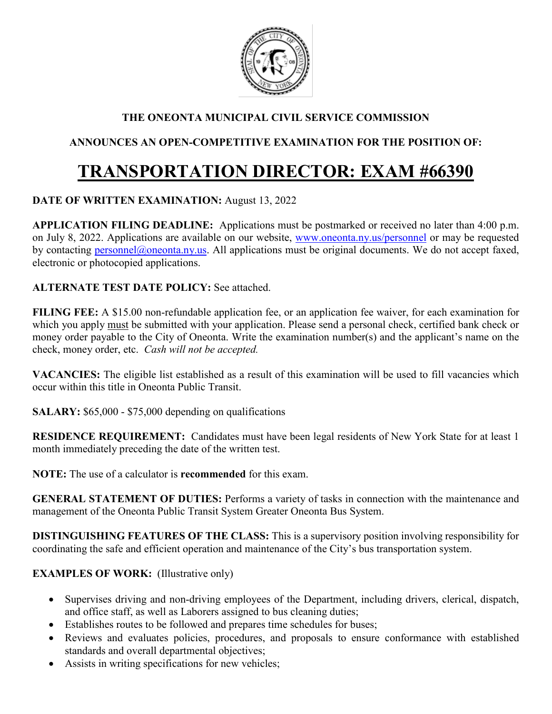

## **THE ONEONTA MUNICIPAL CIVIL SERVICE COMMISSION**

## **ANNOUNCES AN OPEN-COMPETITIVE EXAMINATION FOR THE POSITION OF:**

# **TRANSPORTATION DIRECTOR: EXAM #66390**

## **DATE OF WRITTEN EXAMINATION:** August 13, 2022

**APPLICATION FILING DEADLINE:** Applications must be postmarked or received no later than 4:00 p.m. on July 8, 2022. Applications are available on our website, [www.oneonta.ny.us/personnel](http://www.oneonta.ny.us/personnel) or may be requested by contacting [personnel@oneonta.ny.us.](mailto:personnel@oneonta.ny.us) All applications must be original documents. We do not accept faxed, electronic or photocopied applications.

#### **ALTERNATE TEST DATE POLICY:** See attached.

**FILING FEE:** A \$15.00 non-refundable application fee, or an application fee waiver, for each examination for which you apply must be submitted with your application. Please send a personal check, certified bank check or money order payable to the City of Oneonta. Write the examination number(s) and the applicant's name on the check, money order, etc. *Cash will not be accepted.*

**VACANCIES:** The eligible list established as a result of this examination will be used to fill vacancies which occur within this title in Oneonta Public Transit.

**SALARY:** \$65,000 - \$75,000 depending on qualifications

**RESIDENCE REQUIREMENT:** Candidates must have been legal residents of New York State for at least 1 month immediately preceding the date of the written test.

**NOTE:** The use of a calculator is **recommended** for this exam.

**GENERAL STATEMENT OF DUTIES:** Performs a variety of tasks in connection with the maintenance and management of the Oneonta Public Transit System Greater Oneonta Bus System.

**DISTINGUISHING FEATURES OF THE CLASS:** This is a supervisory position involving responsibility for coordinating the safe and efficient operation and maintenance of the City's bus transportation system.

## **EXAMPLES OF WORK:** (Illustrative only)

- Supervises driving and non-driving employees of the Department, including drivers, clerical, dispatch, and office staff, as well as Laborers assigned to bus cleaning duties;
- Establishes routes to be followed and prepares time schedules for buses;
- Reviews and evaluates policies, procedures, and proposals to ensure conformance with established standards and overall departmental objectives;
- Assists in writing specifications for new vehicles;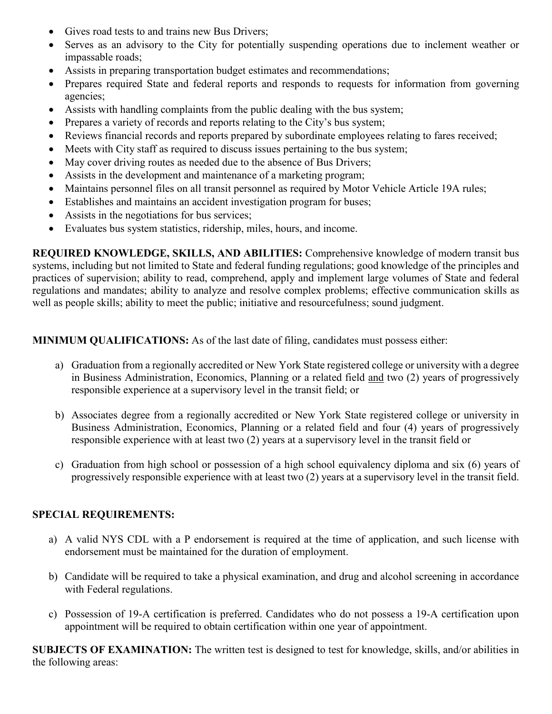- Gives road tests to and trains new Bus Drivers;
- Serves as an advisory to the City for potentially suspending operations due to inclement weather or impassable roads;
- Assists in preparing transportation budget estimates and recommendations;
- Prepares required State and federal reports and responds to requests for information from governing agencies;
- Assists with handling complaints from the public dealing with the bus system;
- Prepares a variety of records and reports relating to the City's bus system;
- Reviews financial records and reports prepared by subordinate employees relating to fares received;
- Meets with City staff as required to discuss issues pertaining to the bus system;
- May cover driving routes as needed due to the absence of Bus Drivers;
- Assists in the development and maintenance of a marketing program;
- Maintains personnel files on all transit personnel as required by Motor Vehicle Article 19A rules;
- Establishes and maintains an accident investigation program for buses;
- Assists in the negotiations for bus services;
- Evaluates bus system statistics, ridership, miles, hours, and income.

**REQUIRED KNOWLEDGE, SKILLS, AND ABILITIES:** Comprehensive knowledge of modern transit bus systems, including but not limited to State and federal funding regulations; good knowledge of the principles and practices of supervision; ability to read, comprehend, apply and implement large volumes of State and federal regulations and mandates; ability to analyze and resolve complex problems; effective communication skills as well as people skills; ability to meet the public; initiative and resourcefulness; sound judgment.

**MINIMUM QUALIFICATIONS:** As of the last date of filing, candidates must possess either:

- a) Graduation from a regionally accredited or New York State registered college or university with a degree in Business Administration, Economics, Planning or a related field and two (2) years of progressively responsible experience at a supervisory level in the transit field; or
- b) Associates degree from a regionally accredited or New York State registered college or university in Business Administration, Economics, Planning or a related field and four (4) years of progressively responsible experience with at least two (2) years at a supervisory level in the transit field or
- c) Graduation from high school or possession of a high school equivalency diploma and six (6) years of progressively responsible experience with at least two (2) years at a supervisory level in the transit field.

#### **SPECIAL REQUIREMENTS:**

- a) A valid NYS CDL with a P endorsement is required at the time of application, and such license with endorsement must be maintained for the duration of employment.
- b) Candidate will be required to take a physical examination, and drug and alcohol screening in accordance with Federal regulations.
- c) Possession of 19-A certification is preferred. Candidates who do not possess a 19-A certification upon appointment will be required to obtain certification within one year of appointment.

**SUBJECTS OF EXAMINATION:** The written test is designed to test for knowledge, skills, and/or abilities in the following areas: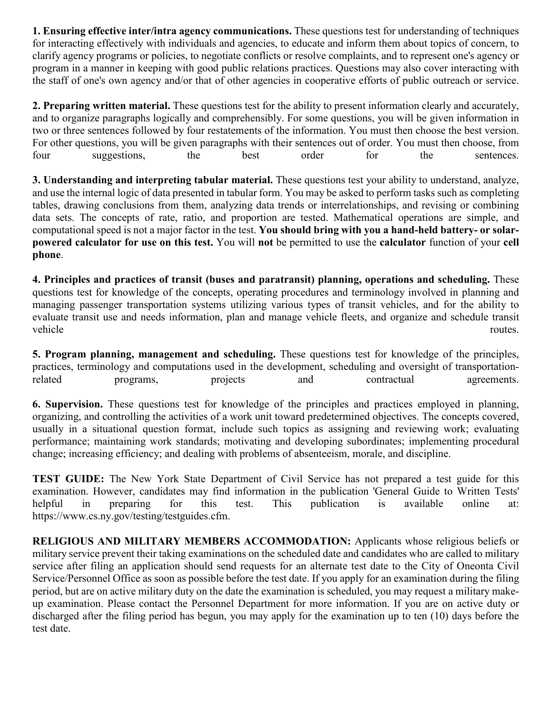**1. Ensuring effective inter/intra agency communications.** These questions test for understanding of techniques for interacting effectively with individuals and agencies, to educate and inform them about topics of concern, to clarify agency programs or policies, to negotiate conflicts or resolve complaints, and to represent one's agency or program in a manner in keeping with good public relations practices. Questions may also cover interacting with the staff of one's own agency and/or that of other agencies in cooperative efforts of public outreach or service.

**2. Preparing written material.** These questions test for the ability to present information clearly and accurately, and to organize paragraphs logically and comprehensibly. For some questions, you will be given information in two or three sentences followed by four restatements of the information. You must then choose the best version. For other questions, you will be given paragraphs with their sentences out of order. You must then choose, from four suggestions, the best order for the sentences.

**3. Understanding and interpreting tabular material.** These questions test your ability to understand, analyze, and use the internal logic of data presented in tabular form. You may be asked to perform tasks such as completing tables, drawing conclusions from them, analyzing data trends or interrelationships, and revising or combining data sets. The concepts of rate, ratio, and proportion are tested. Mathematical operations are simple, and computational speed is not a major factor in the test. **You should bring with you a hand-held battery- or solarpowered calculator for use on this test.** You will **not** be permitted to use the **calculator** function of your **cell phone**.

**4. Principles and practices of transit (buses and paratransit) planning, operations and scheduling.** These questions test for knowledge of the concepts, operating procedures and terminology involved in planning and managing passenger transportation systems utilizing various types of transit vehicles, and for the ability to evaluate transit use and needs information, plan and manage vehicle fleets, and organize and schedule transit vehicle routes.

**5. Program planning, management and scheduling.** These questions test for knowledge of the principles, practices, terminology and computations used in the development, scheduling and oversight of transportationrelated programs, projects and contractual agreements.

**6. Supervision.** These questions test for knowledge of the principles and practices employed in planning, organizing, and controlling the activities of a work unit toward predetermined objectives. The concepts covered, usually in a situational question format, include such topics as assigning and reviewing work; evaluating performance; maintaining work standards; motivating and developing subordinates; implementing procedural change; increasing efficiency; and dealing with problems of absenteeism, morale, and discipline.

**TEST GUIDE:** The New York State Department of Civil Service has not prepared a test guide for this examination. However, candidates may find information in the publication 'General Guide to Written Tests' helpful in preparing for this test. This publication is available online at: https://www.cs.ny.gov/testing/testguides.cfm.

**RELIGIOUS AND MILITARY MEMBERS ACCOMMODATION:** Applicants whose religious beliefs or military service prevent their taking examinations on the scheduled date and candidates who are called to military service after filing an application should send requests for an alternate test date to the City of Oneonta Civil Service/Personnel Office as soon as possible before the test date. If you apply for an examination during the filing period, but are on active military duty on the date the examination is scheduled, you may request a military makeup examination. Please contact the Personnel Department for more information. If you are on active duty or discharged after the filing period has begun, you may apply for the examination up to ten (10) days before the test date.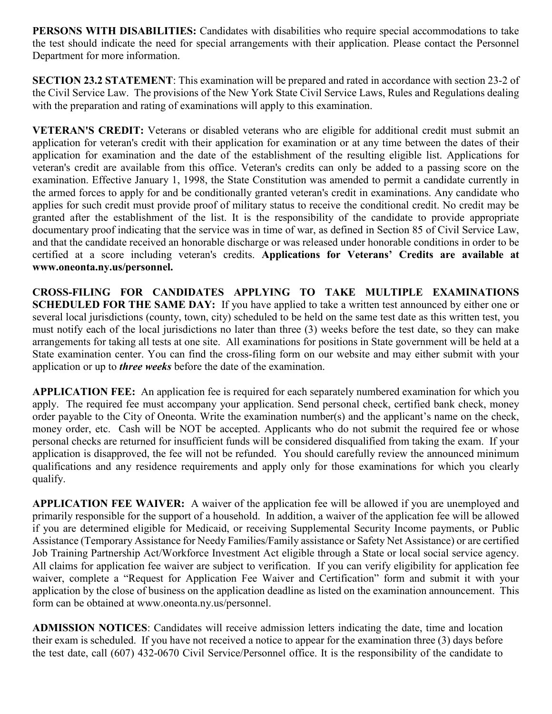**PERSONS WITH DISABILITIES:** Candidates with disabilities who require special accommodations to take the test should indicate the need for special arrangements with their application. Please contact the Personnel Department for more information.

**SECTION 23.2 STATEMENT:** This examination will be prepared and rated in accordance with section 23-2 of the Civil Service Law. The provisions of the New York State Civil Service Laws, Rules and Regulations dealing with the preparation and rating of examinations will apply to this examination.

**VETERAN'S CREDIT:** Veterans or disabled veterans who are eligible for additional credit must submit an application for veteran's credit with their application for examination or at any time between the dates of their application for examination and the date of the establishment of the resulting eligible list. Applications for veteran's credit are available from this office. Veteran's credits can only be added to a passing score on the examination. Effective January 1, 1998, the State Constitution was amended to permit a candidate currently in the armed forces to apply for and be conditionally granted veteran's credit in examinations. Any candidate who applies for such credit must provide proof of military status to receive the conditional credit. No credit may be granted after the establishment of the list. It is the responsibility of the candidate to provide appropriate documentary proof indicating that the service was in time of war, as defined in Section 85 of Civil Service Law, and that the candidate received an honorable discharge or was released under honorable conditions in order to be certified at a score including veteran's credits. **Applications for Veterans' Credits are available at www.oneonta.ny.us/personnel.** 

**CROSS-FILING FOR CANDIDATES APPLYING TO TAKE MULTIPLE EXAMINATIONS SCHEDULED FOR THE SAME DAY:** If you have applied to take a written test announced by either one or several local jurisdictions (county, town, city) scheduled to be held on the same test date as this written test, you must notify each of the local jurisdictions no later than three (3) weeks before the test date, so they can make arrangements for taking all tests at one site. All examinations for positions in State government will be held at a State examination center. You can find the cross-filing form on our website and may either submit with your application or up to *three weeks* before the date of the examination.

**APPLICATION FEE:** An application fee is required for each separately numbered examination for which you apply. The required fee must accompany your application. Send personal check, certified bank check, money order payable to the City of Oneonta. Write the examination number(s) and the applicant's name on the check, money order, etc. Cash will be NOT be accepted. Applicants who do not submit the required fee or whose personal checks are returned for insufficient funds will be considered disqualified from taking the exam. If your application is disapproved, the fee will not be refunded. You should carefully review the announced minimum qualifications and any residence requirements and apply only for those examinations for which you clearly qualify.

**APPLICATION FEE WAIVER:** A waiver of the application fee will be allowed if you are unemployed and primarily responsible for the support of a household. In addition, a waiver of the application fee will be allowed if you are determined eligible for Medicaid, or receiving Supplemental Security Income payments, or Public Assistance (Temporary Assistance for Needy Families/Family assistance or Safety Net Assistance) or are certified Job Training Partnership Act/Workforce Investment Act eligible through a State or local social service agency. All claims for application fee waiver are subject to verification. If you can verify eligibility for application fee waiver, complete a "Request for Application Fee Waiver and Certification" form and submit it with your application by the close of business on the application deadline as listed on the examination announcement. This form can be obtained at www.oneonta.ny.us/personnel.

**ADMISSION NOTICES**: Candidates will receive admission letters indicating the date, time and location their exam is scheduled. If you have not received a notice to appear for the examination three (3) days before the test date, call (607) 432-0670 Civil Service/Personnel office. It is the responsibility of the candidate to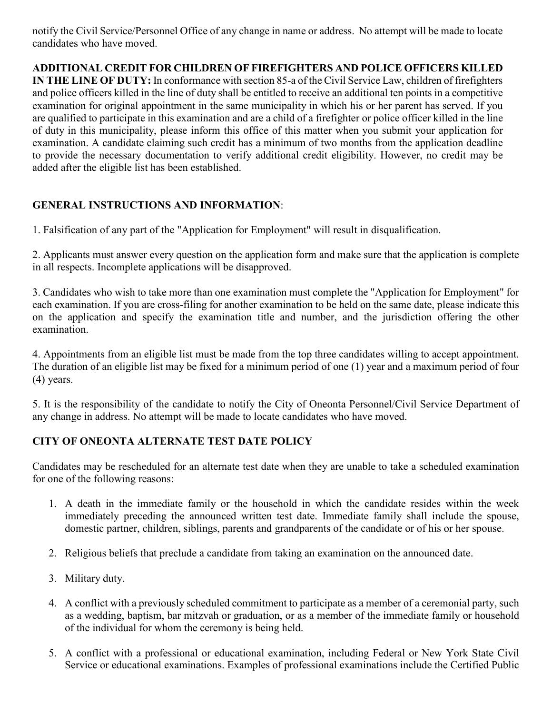notify the Civil Service/Personnel Office of any change in name or address. No attempt will be made to locate candidates who have moved.

## **ADDITIONAL CREDIT FOR CHILDREN OF FIREFIGHTERS AND POLICE OFFICERS KILLED**

**IN THE LINE OF DUTY:** In conformance with section 85-a of the Civil Service Law, children of firefighters and police officers killed in the line of duty shall be entitled to receive an additional ten points in a competitive examination for original appointment in the same municipality in which his or her parent has served. If you are qualified to participate in this examination and are a child of a firefighter or police officer killed in the line of duty in this municipality, please inform this office of this matter when you submit your application for examination. A candidate claiming such credit has a minimum of two months from the application deadline to provide the necessary documentation to verify additional credit eligibility. However, no credit may be added after the eligible list has been established.

## **GENERAL INSTRUCTIONS AND INFORMATION**:

1. Falsification of any part of the "Application for Employment" will result in disqualification.

2. Applicants must answer every question on the application form and make sure that the application is complete in all respects. Incomplete applications will be disapproved.

3. Candidates who wish to take more than one examination must complete the "Application for Employment" for each examination. If you are cross-filing for another examination to be held on the same date, please indicate this on the application and specify the examination title and number, and the jurisdiction offering the other examination.

4. Appointments from an eligible list must be made from the top three candidates willing to accept appointment. The duration of an eligible list may be fixed for a minimum period of one (1) year and a maximum period of four (4) years.

5. It is the responsibility of the candidate to notify the City of Oneonta Personnel/Civil Service Department of any change in address. No attempt will be made to locate candidates who have moved.

## **CITY OF ONEONTA ALTERNATE TEST DATE POLICY**

Candidates may be rescheduled for an alternate test date when they are unable to take a scheduled examination for one of the following reasons:

- 1. A death in the immediate family or the household in which the candidate resides within the week immediately preceding the announced written test date. Immediate family shall include the spouse, domestic partner, children, siblings, parents and grandparents of the candidate or of his or her spouse.
- 2. Religious beliefs that preclude a candidate from taking an examination on the announced date.
- 3. Military duty.
- 4. A conflict with a previously scheduled commitment to participate as a member of a ceremonial party, such as a wedding, baptism, bar mitzvah or graduation, or as a member of the immediate family or household of the individual for whom the ceremony is being held.
- 5. A conflict with a professional or educational examination, including Federal or New York State Civil Service or educational examinations. Examples of professional examinations include the Certified Public